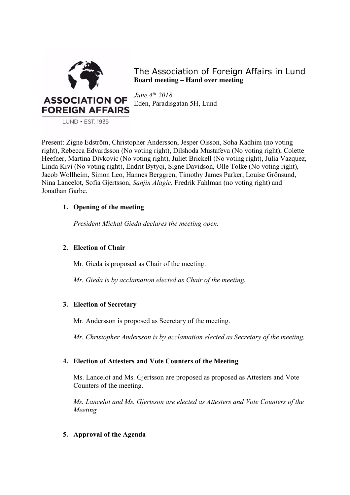

The Association of Foreign Affairs in Lund **Board meeting – Hand over meeting**

*June 4th 2018* Eden, Paradisgatan 5H, Lund

LUND · EST. 1935

Present: Zigne Edström, Christopher Andersson, Jesper Olsson, Soha Kadhim (no voting right), Rebecca Edvardsson (No voting right), Dilshoda Mustafeva (No voting right), Colette Heefner, Martina Divkovic (No voting right), Juliet Brickell (No voting right), Julia Vazquez, Linda Kivi (No voting right), Endrit Bytyqi, Signe Davidson, Olle Tolke (No voting right), Jacob Wollheim, Simon Leo, Hannes Berggren, Timothy James Parker, Louise Grönsund, Nina Lancelot, Sofia Gjertsson, *Sanjin Alagic,* Fredrik Fahlman (no voting right) and Jonathan Garbe.

## **1. Opening of the meeting**

*President Michal Gieda declares the meeting open.*

# **2. Election of Chair**

Mr. Gieda is proposed as Chair of the meeting.

*Mr. Gieda is by acclamation elected as Chair of the meeting.*

# **3. Election of Secretary**

Mr. Andersson is proposed as Secretary of the meeting.

*Mr. Christopher Andersson is by acclamation elected as Secretary of the meeting.*

# **4. Election of Attesters and Vote Counters of the Meeting**

Ms. Lancelot and Ms. Gjertsson are proposed as proposed as Attesters and Vote Counters of the meeting.

*Ms. Lancelot and Ms. Gjertsson are elected as Attesters and Vote Counters of the Meeting*

# **5. Approval of the Agenda**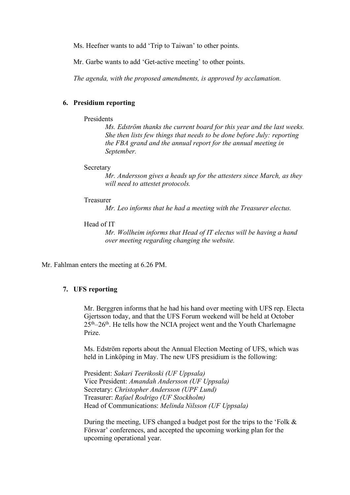Ms. Heefner wants to add 'Trip to Taiwan' to other points.

Mr. Garbe wants to add 'Get-active meeting' to other points.

*The agenda, with the proposed amendments, is approved by acclamation.* 

## **6. Presidium reporting**

## Presidents

*Ms. Edström thanks the current board for this year and the last weeks. She then lists few things that needs to be done before July: reporting the FBA grand and the annual report for the annual meeting in September.* 

#### **Secretary**

*Mr. Andersson gives a heads up for the attesters since March, as they will need to attestet protocols.* 

#### Treasurer

*Mr. Leo informs that he had a meeting with the Treasurer electus.* 

#### Head of IT

*Mr. Wollheim informs that Head of IT electus will be having a hand over meeting regarding changing the website.* 

Mr. Fahlman enters the meeting at 6.26 PM.

## **7. UFS reporting**

Mr. Berggren informs that he had his hand over meeting with UFS rep. Electa Gjertsson today, and that the UFS Forum weekend will be held at October  $25<sup>th</sup> - 26<sup>th</sup>$ . He tells how the NCIA project went and the Youth Charlemagne Prize.

Ms. Edström reports about the Annual Election Meeting of UFS, which was held in Linköping in May. The new UFS presidium is the following:

President: *Sakari Teerikoski (UF Uppsala)* Vice President: *Amandah Andersson (UF Uppsala)* Secretary: *Christopher Andersson (UPF Lund)* Treasurer: *Rafael Rodrigo (UF Stockholm)* Head of Communications: *Melinda Nilsson (UF Uppsala)*

During the meeting, UFS changed a budget post for the trips to the 'Folk & Försvar' conferences, and accepted the upcoming working plan for the upcoming operational year.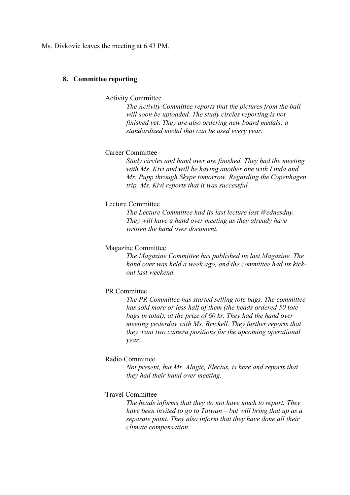Ms. Divkovic leaves the meeting at 6.43 PM.

#### **8. Committee reporting**

Activity Committee

*The Activity Committee reports that the pictures from the ball will soon be uploaded. The study circles reporting is not finished yet. They are also ordering new board medals; a standardized medal that can be used every year.* 

## Career Committee

*Study circles and hand over are finished. They had the meeting with Ms. Kivi and will be having another one with Linda and Mr. Pupp through Skype tomorrow. Regarding the Copenhagen trip, Ms. Kivi reports that it was successful.* 

## Lecture Committee

*The Lecture Committee had its last lecture last Wednesday. They will have a hand over meeting as they already have written the hand over document.* 

#### Magazine Committee

*The Magazine Committee has published its last Magazine. The hand over was held a week ago, and the committee had its kickout last weekend.*

#### PR Committee

*The PR Committee has started selling tote bags. The committee has sold more or less half of them (the heads ordered 50 tote bags in total), at the prize of 60 kr. They had the hand over meeting yesterday with Ms. Brickell. They further reports that they want two camera positions for the upcoming operational year.* 

#### Radio Committee

*Not present, but Mr. Alagic, Electus, is here and reports that they had their hand over meeting.* 

#### Travel Committee

*The heads informs that they do not have much to report. They have been invited to go to Taiwan – but will bring that up as a separate point. They also inform that they have done all their climate compensation.*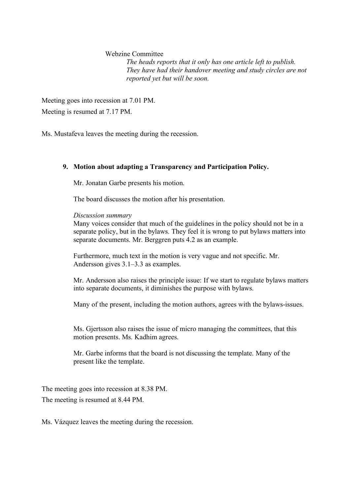Webzine Committee *The heads reports that it only has one article left to publish. They have had their handover meeting and study circles are not reported yet but will be soon.* 

Meeting goes into recession at 7.01 PM. Meeting is resumed at 7.17 PM.

Ms. Mustafeva leaves the meeting during the recession.

## **9. Motion about adapting a Transparency and Participation Policy.**

Mr. Jonatan Garbe presents his motion.

The board discusses the motion after his presentation.

*Discussion summary*

Many voices consider that much of the guidelines in the policy should not be in a separate policy, but in the bylaws. They feel it is wrong to put bylaws matters into separate documents. Mr. Berggren puts 4.2 as an example.

Furthermore, much text in the motion is very vague and not specific. Mr. Andersson gives 3.1–3.3 as examples.

Mr. Andersson also raises the principle issue: If we start to regulate bylaws matters into separate documents, it diminishes the purpose with bylaws.

Many of the present, including the motion authors, agrees with the bylaws-issues.

Ms. Gjertsson also raises the issue of micro managing the committees, that this motion presents. Ms. Kadhim agrees.

Mr. Garbe informs that the board is not discussing the template. Many of the present like the template.

The meeting goes into recession at 8.38 PM. The meeting is resumed at 8.44 PM.

Ms. Vázquez leaves the meeting during the recession.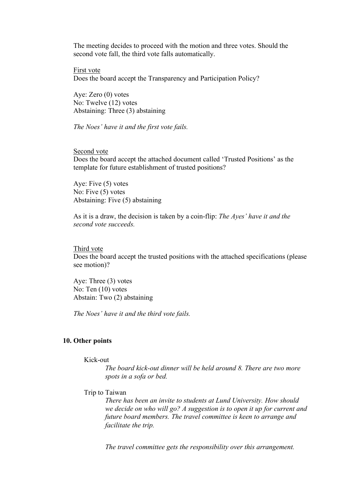The meeting decides to proceed with the motion and three votes. Should the second vote fall, the third vote falls automatically.

First vote Does the board accept the Transparency and Participation Policy?

Aye: Zero (0) votes No: Twelve (12) votes Abstaining: Three (3) abstaining

*The Noes' have it and the first vote fails.* 

Second vote Does the board accept the attached document called 'Trusted Positions' as the template for future establishment of trusted positions?

Aye: Five (5) votes No: Five (5) votes Abstaining: Five (5) abstaining

As it is a draw, the decision is taken by a coin-flip: *The Ayes' have it and the second vote succeeds.*

Third vote Does the board accept the trusted positions with the attached specifications (please see motion)?

Aye: Three (3) votes No: Ten (10) votes Abstain: Two (2) abstaining

*The Noes' have it and the third vote fails.* 

#### **10. Other points**

Kick-out

*The board kick-out dinner will be held around 8. There are two more spots in a sofa or bed.* 

## Trip to Taiwan

*There has been an invite to students at Lund University. How should we decide on who will go? A suggestion is to open it up for current and future board members. The travel committee is keen to arrange and facilitate the trip.* 

*The travel committee gets the responsibility over this arrangement.*